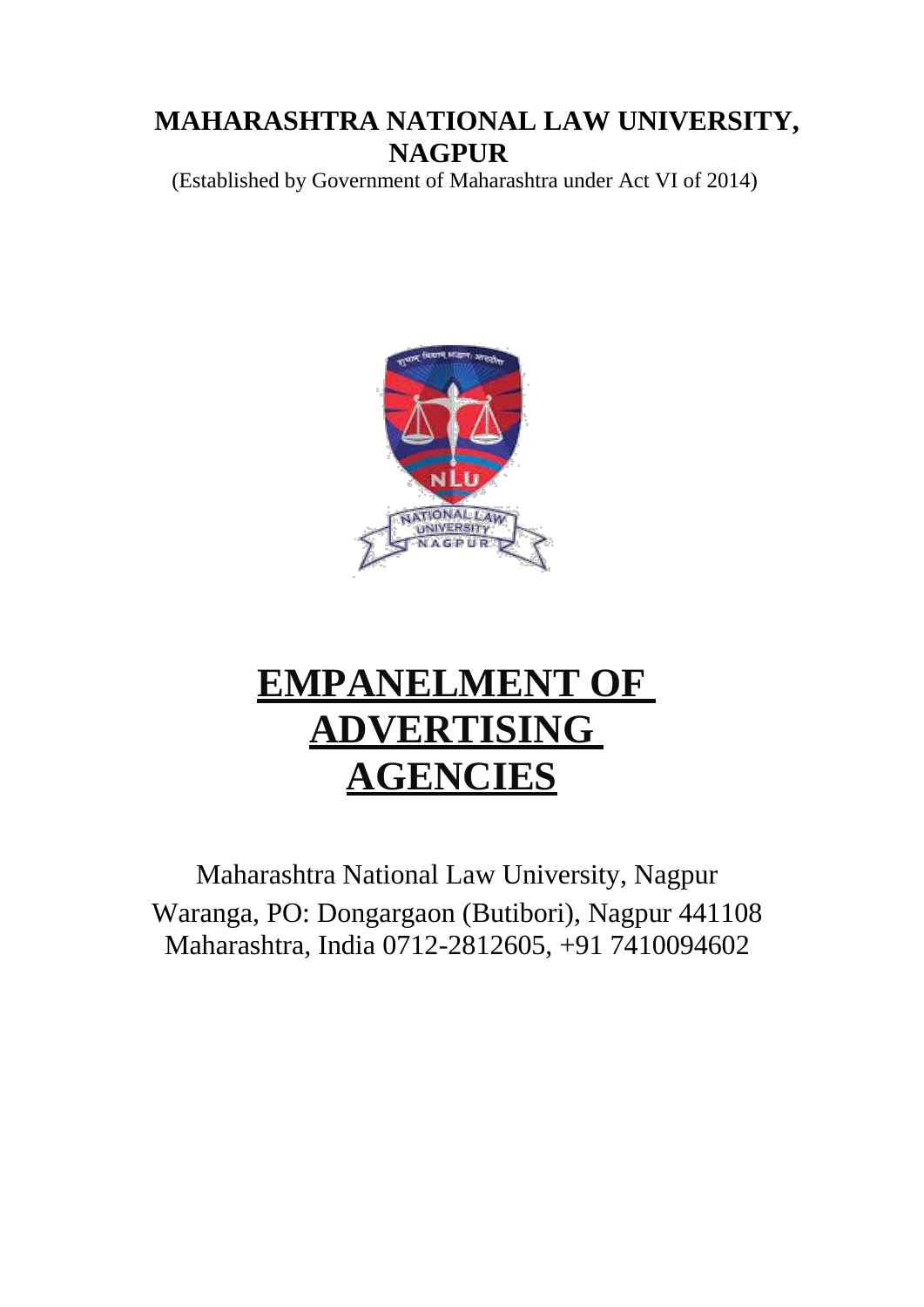# **MAHARASHTRA NATIONAL LAW UNIVERSITY, NAGPUR**

(Established by Government of Maharashtra under Act VI of 2014)



# **EMPANELMENT OF ADVERTISING AGENCIES**

Maharashtra National Law University, Nagpur Waranga, PO: Dongargaon (Butibori), Nagpur 441108 Maharashtra, India 0712-2812605, +91 7410094602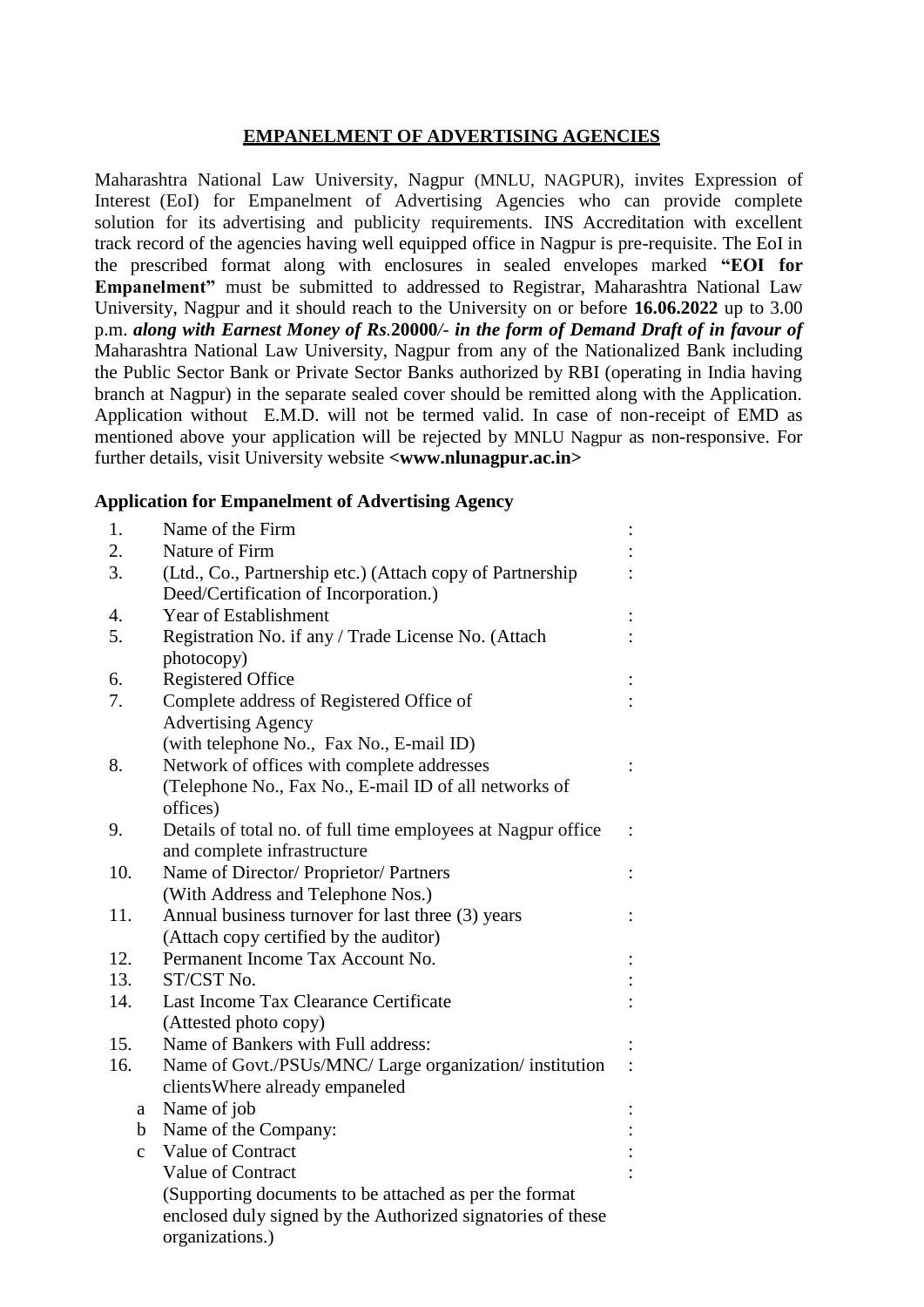### **EMPANELMENT OF ADVERTISING AGENCIES**

Maharashtra National Law University, Nagpur (MNLU, NAGPUR), invites Expression of Interest (EoI) for Empanelment of Advertising Agencies who can provide complete solution for its advertising and publicity requirements. INS Accreditation with excellent track record of the agencies having well equipped office in Nagpur is pre-requisite. The EoI in the prescribed format along with enclosures in sealed envelopes marked **"EOI for Empanelment"** must be submitted to addressed to Registrar, Maharashtra National Law University, Nagpur and it should reach to the University on or before **16.06.2022** up to 3.00 p.m. *along with Earnest Money of Rs.***20000***/- in the form of Demand Draft of in favour of*  Maharashtra National Law University, Nagpur from any of the Nationalized Bank including the Public Sector Bank or Private Sector Banks authorized by RBI (operating in India having branch at Nagpur) in the separate sealed cover should be remitted along with the Application. Application without E.M.D. will not be termed valid. In case of non-receipt of EMD as mentioned above your application will be rejected by MNLU Nagpur as non-responsive. For further details, visit University website **<www.nlunagpur.ac.in>** 

#### **Application for Empanelment of Advertising Agency**

| 1.           | Name of the Firm                                             |  |
|--------------|--------------------------------------------------------------|--|
| 2.           | Nature of Firm                                               |  |
| 3.           | (Ltd., Co., Partnership etc.) (Attach copy of Partnership    |  |
|              | Deed/Certification of Incorporation.)                        |  |
| 4.           | Year of Establishment                                        |  |
| 5.           | Registration No. if any / Trade License No. (Attach          |  |
|              | photocopy)                                                   |  |
| 6.           | <b>Registered Office</b>                                     |  |
| 7.           | Complete address of Registered Office of                     |  |
|              | <b>Advertising Agency</b>                                    |  |
|              | (with telephone No., Fax No., E-mail ID)                     |  |
| 8.           | Network of offices with complete addresses                   |  |
|              | (Telephone No., Fax No., E-mail ID of all networks of        |  |
|              | offices)                                                     |  |
| 9.           | Details of total no. of full time employees at Nagpur office |  |
|              | and complete infrastructure                                  |  |
| 10.          | Name of Director/ Proprietor/ Partners                       |  |
|              | (With Address and Telephone Nos.)                            |  |
| 11.          | Annual business turnover for last three (3) years            |  |
|              | (Attach copy certified by the auditor)                       |  |
| 12.          | Permanent Income Tax Account No.                             |  |
| 13.          | ST/CST No.                                                   |  |
| 14.          | Last Income Tax Clearance Certificate                        |  |
|              | (Attested photo copy)                                        |  |
| 15.          | Name of Bankers with Full address:                           |  |
| 16.          | Name of Govt./PSUs/MNC/ Large organization/ institution      |  |
|              | clients Where already empaneled                              |  |
| a            | Name of job                                                  |  |
| b            | Name of the Company:                                         |  |
| $\mathbf{C}$ | Value of Contract                                            |  |
|              | Value of Contract                                            |  |
|              | (Supporting documents to be attached as per the format       |  |
|              | enclosed duly signed by the Authorized signatories of these  |  |
|              | organizations.)                                              |  |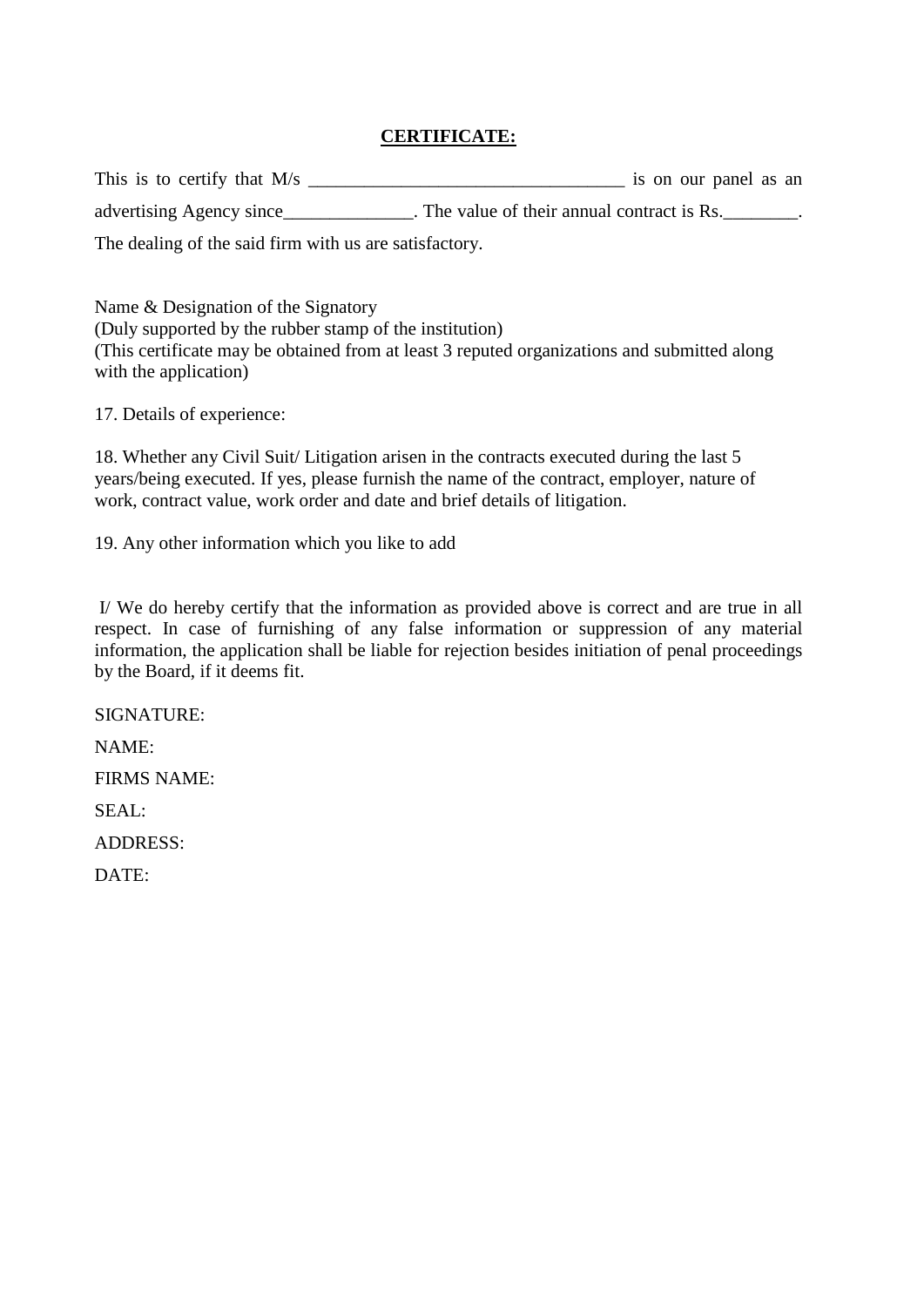# **CERTIFICATE:**

This is to certify that M/s \_\_\_\_\_\_\_\_\_\_\_\_\_\_\_\_\_\_\_\_\_\_\_\_\_\_\_\_\_\_\_\_\_\_ is on our panel as an advertising Agency since\_\_\_\_\_\_\_\_\_\_\_\_\_. The value of their annual contract is Rs.\_\_\_\_\_\_\_. The dealing of the said firm with us are satisfactory.

Name & Designation of the Signatory (Duly supported by the rubber stamp of the institution) (This certificate may be obtained from at least 3 reputed organizations and submitted along with the application)

17. Details of experience:

18. Whether any Civil Suit/ Litigation arisen in the contracts executed during the last 5 years/being executed. If yes, please furnish the name of the contract, employer, nature of work, contract value, work order and date and brief details of litigation.

19. Any other information which you like to add

I/ We do hereby certify that the information as provided above is correct and are true in all respect. In case of furnishing of any false information or suppression of any material information, the application shall be liable for rejection besides initiation of penal proceedings by the Board, if it deems fit.

SIGNATURE:

NAME:

FIRMS NAME:

SEAL:

ADDRESS:

DATE: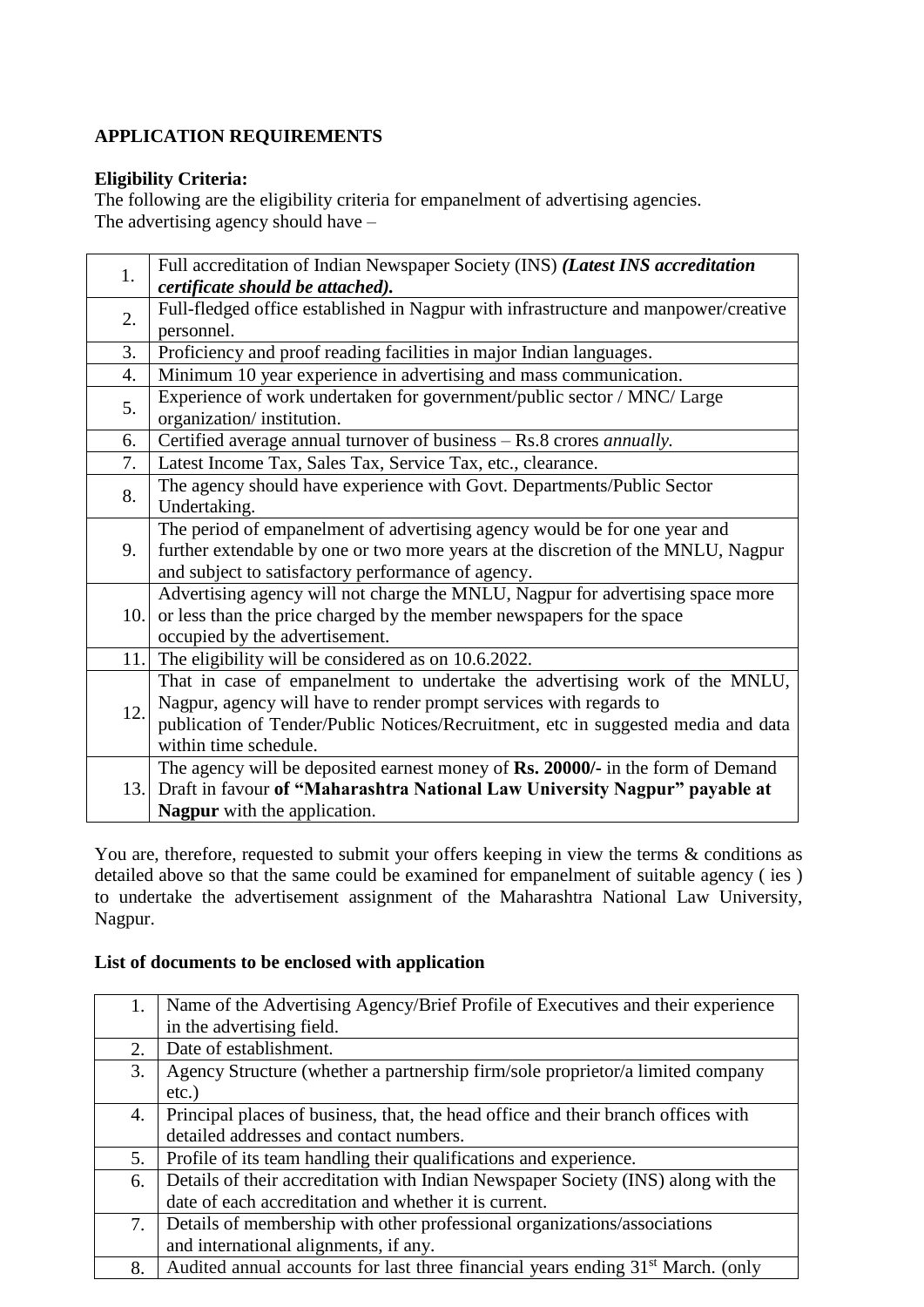# **APPLICATION REQUIREMENTS**

# **Eligibility Criteria:**

The following are the eligibility criteria for empanelment of advertising agencies. The advertising agency should have –

| 1.               | Full accreditation of Indian Newspaper Society (INS) (Latest INS accreditation      |
|------------------|-------------------------------------------------------------------------------------|
|                  | certificate should be attached).                                                    |
| 2.               | Full-fledged office established in Nagpur with infrastructure and manpower/creative |
|                  | personnel.                                                                          |
| 3.               | Proficiency and proof reading facilities in major Indian languages.                 |
| $\overline{4}$ . | Minimum 10 year experience in advertising and mass communication.                   |
| 5.               | Experience of work undertaken for government/public sector / MNC/ Large             |
|                  | organization/institution.                                                           |
| 6.               | Certified average annual turnover of business - Rs.8 crores annually.               |
| 7.               | Latest Income Tax, Sales Tax, Service Tax, etc., clearance.                         |
| 8.               | The agency should have experience with Govt. Departments/Public Sector              |
|                  | Undertaking.                                                                        |
|                  | The period of empanelment of advertising agency would be for one year and           |
| 9.               | further extendable by one or two more years at the discretion of the MNLU, Nagpur   |
|                  | and subject to satisfactory performance of agency.                                  |
|                  | Advertising agency will not charge the MNLU, Nagpur for advertising space more      |
| 10.              | or less than the price charged by the member newspapers for the space               |
|                  | occupied by the advertisement.                                                      |
|                  | 11. The eligibility will be considered as on 10.6.2022.                             |
|                  | That in case of empanelment to undertake the advertising work of the MNLU,          |
| 12.              | Nagpur, agency will have to render prompt services with regards to                  |
|                  | publication of Tender/Public Notices/Recruitment, etc in suggested media and data   |
|                  | within time schedule.                                                               |
|                  | The agency will be deposited earnest money of Rs. 20000/- in the form of Demand     |
| 13.1             | Draft in favour of "Maharashtra National Law University Nagpur" payable at          |
|                  | <b>Nagpur</b> with the application.                                                 |

You are, therefore, requested to submit your offers keeping in view the terms & conditions as detailed above so that the same could be examined for empanelment of suitable agency ( ies ) to undertake the advertisement assignment of the Maharashtra National Law University, Nagpur.

# **List of documents to be enclosed with application**

| 1. | Name of the Advertising Agency/Brief Profile of Executives and their experience             |
|----|---------------------------------------------------------------------------------------------|
|    | in the advertising field.                                                                   |
| 2. | Date of establishment.                                                                      |
| 3. | Agency Structure (whether a partnership firm/sole proprietor/a limited company              |
|    | $etc.$ )                                                                                    |
| 4. | Principal places of business, that, the head office and their branch offices with           |
|    | detailed addresses and contact numbers.                                                     |
| 5. | Profile of its team handling their qualifications and experience.                           |
| 6. | Details of their accreditation with Indian Newspaper Society (INS) along with the           |
|    | date of each accreditation and whether it is current.                                       |
| 7. | Details of membership with other professional organizations/associations                    |
|    | and international alignments, if any.                                                       |
| 8. | Audited annual accounts for last three financial years ending 31 <sup>st</sup> March. (only |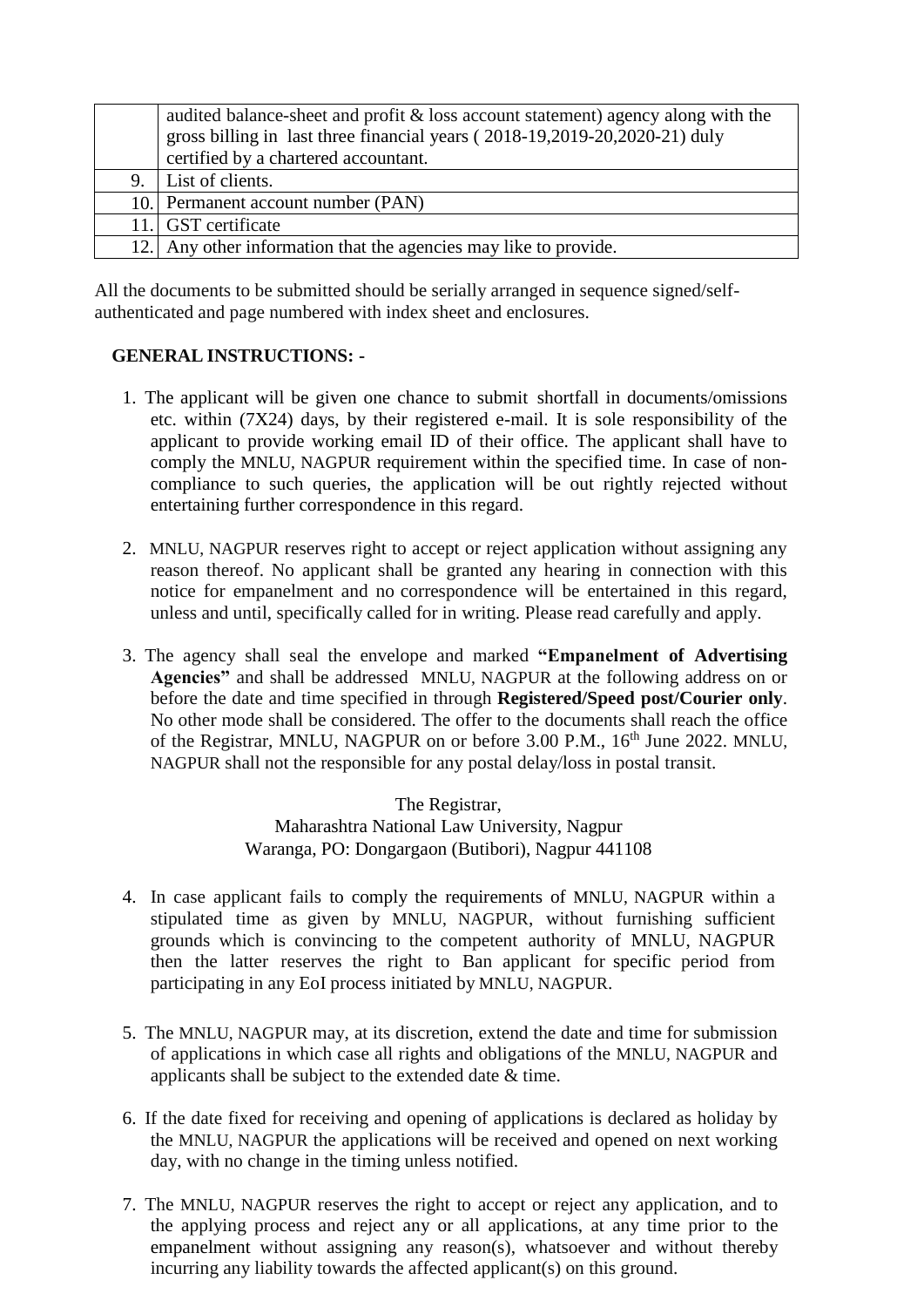| audited balance-sheet and profit $\&$ loss account statement) agency along with the |
|-------------------------------------------------------------------------------------|
| gross billing in last three financial years (2018-19,2019-20,2020-21) duly          |
| certified by a chartered accountant.                                                |
| 9. List of clients.                                                                 |
| 10. Permanent account number (PAN)                                                  |
| 11. GST certificate                                                                 |
| 12. Any other information that the agencies may like to provide.                    |

All the documents to be submitted should be serially arranged in sequence signed/selfauthenticated and page numbered with index sheet and enclosures.

# **GENERAL INSTRUCTIONS: -**

- 1. The applicant will be given one chance to submit shortfall in documents/omissions etc. within (7X24) days, by their registered e-mail. It is sole responsibility of the applicant to provide working email ID of their office. The applicant shall have to comply the MNLU, NAGPUR requirement within the specified time. In case of noncompliance to such queries, the application will be out rightly rejected without entertaining further correspondence in this regard.
- 2. MNLU, NAGPUR reserves right to accept or reject application without assigning any reason thereof. No applicant shall be granted any hearing in connection with this notice for empanelment and no correspondence will be entertained in this regard, unless and until, specifically called for in writing. Please read carefully and apply.
- 3. The agency shall seal the envelope and marked **"Empanelment of Advertising Agencies"** and shall be addressed MNLU, NAGPUR at the following address on or before the date and time specified in through **Registered/Speed post/Courier only**. No other mode shall be considered. The offer to the documents shall reach the office of the Registrar, MNLU, NAGPUR on or before 3.00 P.M., 16<sup>th</sup> June 2022. MNLU, NAGPUR shall not the responsible for any postal delay/loss in postal transit.

The Registrar, Maharashtra National Law University, Nagpur Waranga, PO: Dongargaon (Butibori), Nagpur 441108

- 4. In case applicant fails to comply the requirements of MNLU, NAGPUR within a stipulated time as given by MNLU, NAGPUR, without furnishing sufficient grounds which is convincing to the competent authority of MNLU, NAGPUR then the latter reserves the right to Ban applicant for specific period from participating in any EoI process initiated by MNLU, NAGPUR.
- 5. The MNLU, NAGPUR may, at its discretion, extend the date and time for submission of applications in which case all rights and obligations of the MNLU, NAGPUR and applicants shall be subject to the extended date & time.
- 6. If the date fixed for receiving and opening of applications is declared as holiday by the MNLU, NAGPUR the applications will be received and opened on next working day, with no change in the timing unless notified.
- 7. The MNLU, NAGPUR reserves the right to accept or reject any application, and to the applying process and reject any or all applications, at any time prior to the empanelment without assigning any reason(s), whatsoever and without thereby incurring any liability towards the affected applicant(s) on this ground.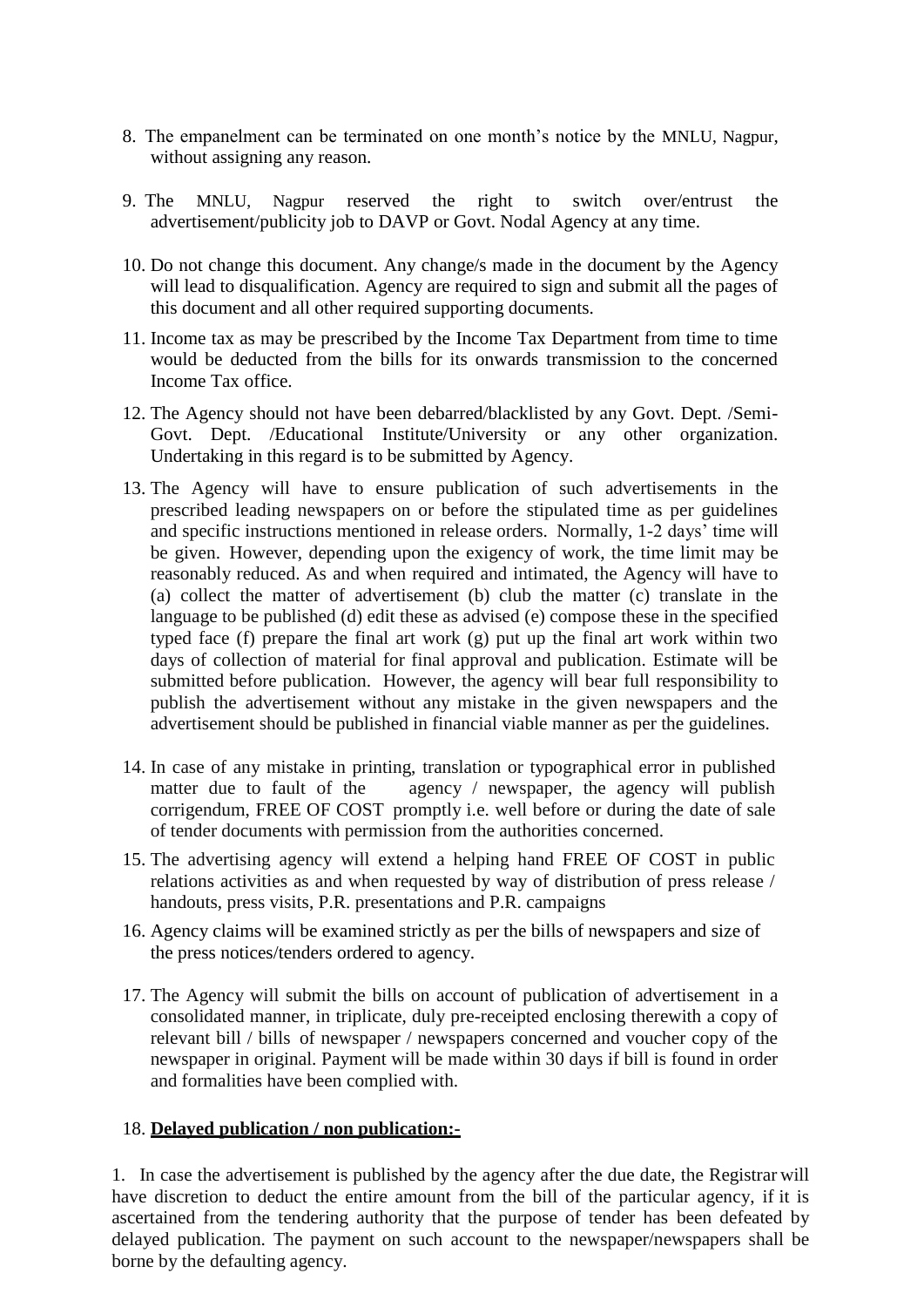- 8. The empanelment can be terminated on one month's notice by the MNLU, Nagpur, without assigning any reason.
- 9. The MNLU, Nagpur reserved the right to switch over/entrust the advertisement/publicity job to DAVP or Govt. Nodal Agency at any time.
- 10. Do not change this document. Any change/s made in the document by the Agency will lead to disqualification. Agency are required to sign and submit all the pages of this document and all other required supporting documents.
- 11. Income tax as may be prescribed by the Income Tax Department from time to time would be deducted from the bills for its onwards transmission to the concerned Income Tax office.
- 12. The Agency should not have been debarred/blacklisted by any Govt. Dept. /Semi-Govt. Dept. /Educational Institute/University or any other organization. Undertaking in this regard is to be submitted by Agency.
- 13. The Agency will have to ensure publication of such advertisements in the prescribed leading newspapers on or before the stipulated time as per guidelines and specific instructions mentioned in release orders. Normally, 1-2 days' time will be given. However, depending upon the exigency of work, the time limit may be reasonably reduced. As and when required and intimated, the Agency will have to (a) collect the matter of advertisement (b) club the matter (c) translate in the language to be published (d) edit these as advised (e) compose these in the specified typed face (f) prepare the final art work (g) put up the final art work within two days of collection of material for final approval and publication. Estimate will be submitted before publication. However, the agency will bear full responsibility to publish the advertisement without any mistake in the given newspapers and the advertisement should be published in financial viable manner as per the guidelines.
- 14. In case of any mistake in printing, translation or typographical error in published matter due to fault of the agency / newspaper, the agency will publish corrigendum, FREE OF COST promptly i.e. well before or during the date of sale of tender documents with permission from the authorities concerned.
- 15. The advertising agency will extend a helping hand FREE OF COST in public relations activities as and when requested by way of distribution of press release / handouts, press visits, P.R. presentations and P.R. campaigns
- 16. Agency claims will be examined strictly as per the bills of newspapers and size of the press notices/tenders ordered to agency.
- 17. The Agency will submit the bills on account of publication of advertisement in a consolidated manner, in triplicate, duly pre-receipted enclosing therewith a copy of relevant bill / bills of newspaper / newspapers concerned and voucher copy of the newspaper in original. Payment will be made within 30 days if bill is found in order and formalities have been complied with.

### 18. **Delayed publication / non publication:-**

1. In case the advertisement is published by the agency after the due date, the Registrar will have discretion to deduct the entire amount from the bill of the particular agency, if it is ascertained from the tendering authority that the purpose of tender has been defeated by delayed publication. The payment on such account to the newspaper/newspapers shall be borne by the defaulting agency.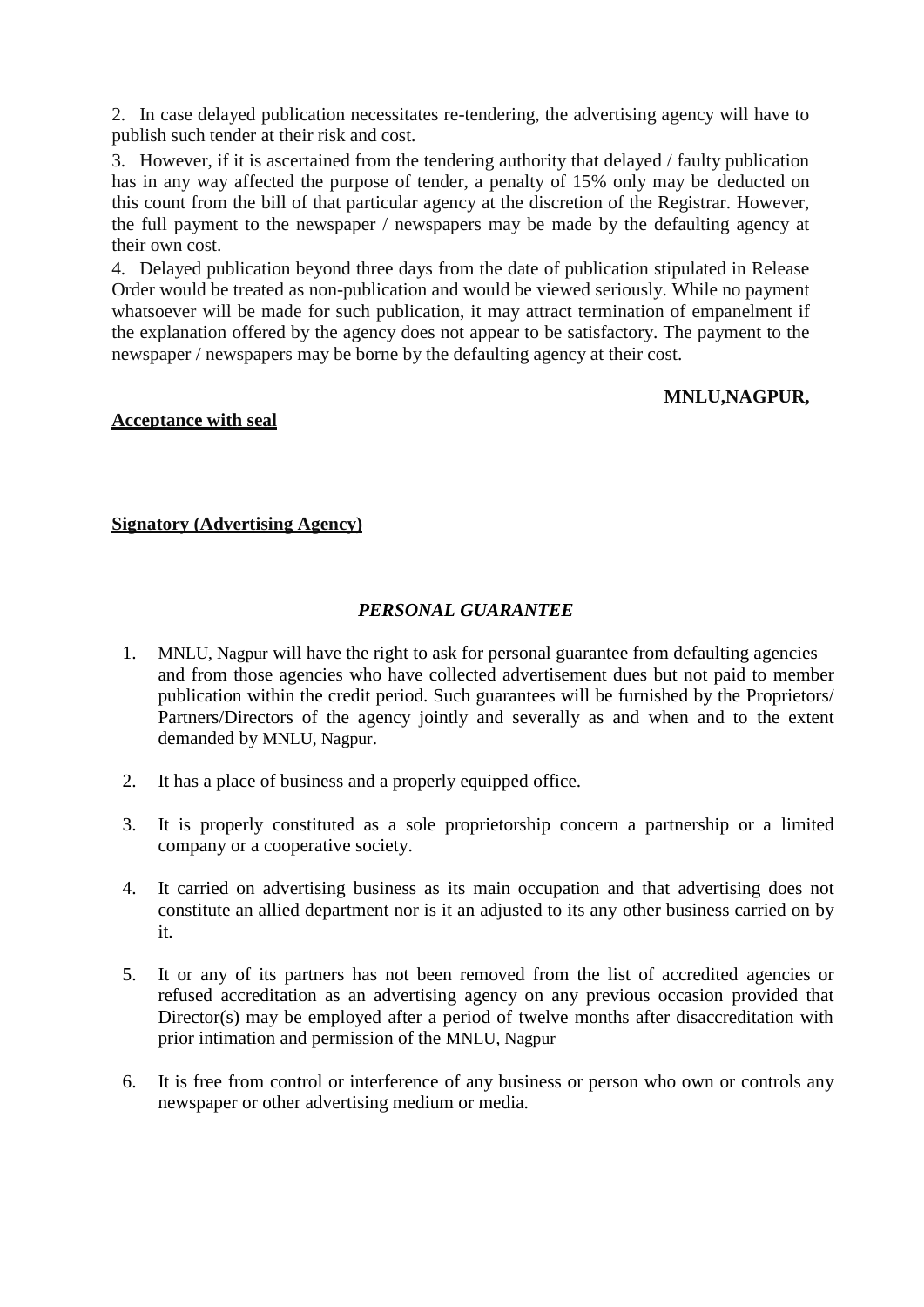2. In case delayed publication necessitates re-tendering, the advertising agency will have to publish such tender at their risk and cost.

3. However, if it is ascertained from the tendering authority that delayed / faulty publication has in any way affected the purpose of tender, a penalty of 15% only may be deducted on this count from the bill of that particular agency at the discretion of the Registrar. However, the full payment to the newspaper / newspapers may be made by the defaulting agency at their own cost.

4. Delayed publication beyond three days from the date of publication stipulated in Release Order would be treated as non-publication and would be viewed seriously. While no payment whatsoever will be made for such publication, it may attract termination of empanelment if the explanation offered by the agency does not appear to be satisfactory. The payment to the newspaper / newspapers may be borne by the defaulting agency at their cost.

#### **MNLU,NAGPUR,**

#### **Acceptance with seal**

#### **Signatory (Advertising Agency)**

#### *PERSONAL GUARANTEE*

- 1. MNLU, Nagpur will have the right to ask for personal guarantee from defaulting agencies and from those agencies who have collected advertisement dues but not paid to member publication within the credit period. Such guarantees will be furnished by the Proprietors/ Partners/Directors of the agency jointly and severally as and when and to the extent demanded by MNLU, Nagpur.
- 2. It has a place of business and a properly equipped office.
- 3. It is properly constituted as a sole proprietorship concern a partnership or a limited company or a cooperative society.
- 4. It carried on advertising business as its main occupation and that advertising does not constitute an allied department nor is it an adjusted to its any other business carried on by it.
- 5. It or any of its partners has not been removed from the list of accredited agencies or refused accreditation as an advertising agency on any previous occasion provided that Director(s) may be employed after a period of twelve months after disaccreditation with prior intimation and permission of the MNLU, Nagpur
- 6. It is free from control or interference of any business or person who own or controls any newspaper or other advertising medium or media.